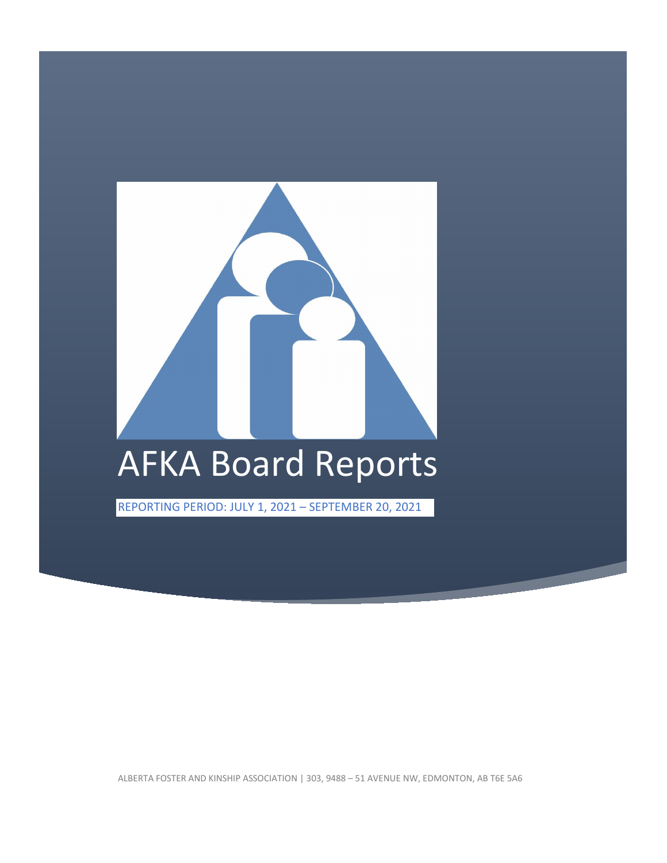

ALBERTA FOSTER AND KINSHIP ASSOCIATION | 303, 9488 – 51 AVENUE NW, EDMONTON, AB T6E 5A6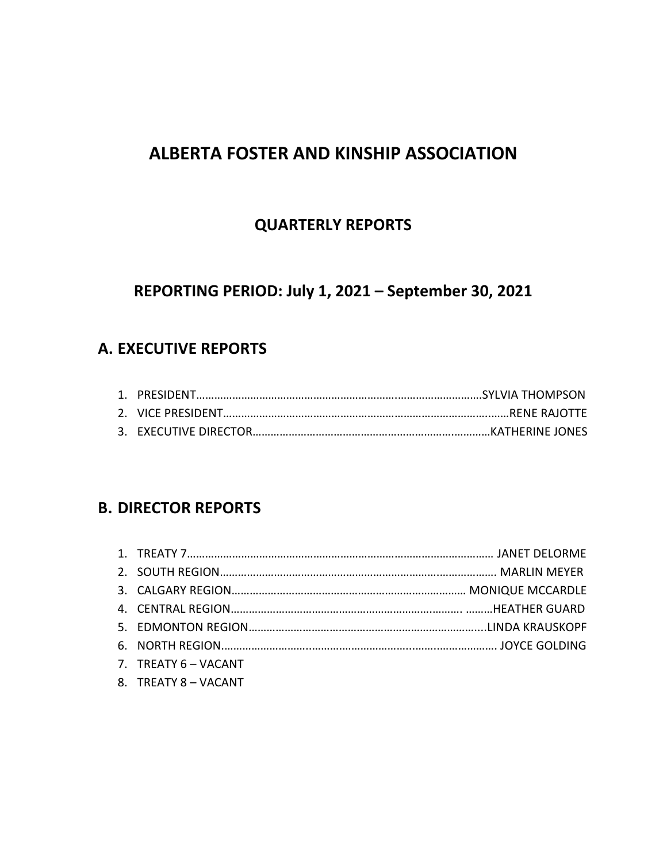# **ALBERTA FOSTER AND KINSHIP ASSOCIATION**

# **QUARTERLY REPORTS**

# **REPORTING PERIOD: July 1, 2021 – September 30, 2021**

# **A. EXECUTIVE REPORTS**

# **B. DIRECTOR REPORTS**

| 7. TREATY $6 - VACANT$ |  |
|------------------------|--|
|                        |  |

8. TREATY 8 – VACANT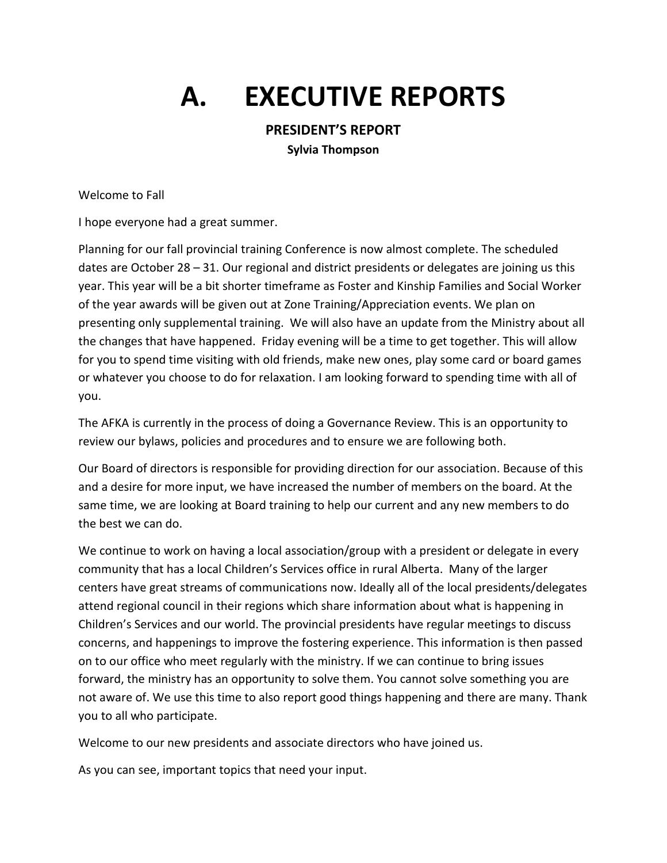# **A. EXECUTIVE REPORTS**

## **PRESIDENT'S REPORT**

**Sylvia Thompson**

Welcome to Fall

I hope everyone had a great summer.

Planning for our fall provincial training Conference is now almost complete. The scheduled dates are October 28 – 31. Our regional and district presidents or delegates are joining us this year. This year will be a bit shorter timeframe as Foster and Kinship Families and Social Worker of the year awards will be given out at Zone Training/Appreciation events. We plan on presenting only supplemental training. We will also have an update from the Ministry about all the changes that have happened. Friday evening will be a time to get together. This will allow for you to spend time visiting with old friends, make new ones, play some card or board games or whatever you choose to do for relaxation. I am looking forward to spending time with all of you.

The AFKA is currently in the process of doing a Governance Review. This is an opportunity to review our bylaws, policies and procedures and to ensure we are following both.

Our Board of directors is responsible for providing direction for our association. Because of this and a desire for more input, we have increased the number of members on the board. At the same time, we are looking at Board training to help our current and any new members to do the best we can do.

We continue to work on having a local association/group with a president or delegate in every community that has a local Children's Services office in rural Alberta. Many of the larger centers have great streams of communications now. Ideally all of the local presidents/delegates attend regional council in their regions which share information about what is happening in Children's Services and our world. The provincial presidents have regular meetings to discuss concerns, and happenings to improve the fostering experience. This information is then passed on to our office who meet regularly with the ministry. If we can continue to bring issues forward, the ministry has an opportunity to solve them. You cannot solve something you are not aware of. We use this time to also report good things happening and there are many. Thank you to all who participate.

Welcome to our new presidents and associate directors who have joined us.

As you can see, important topics that need your input.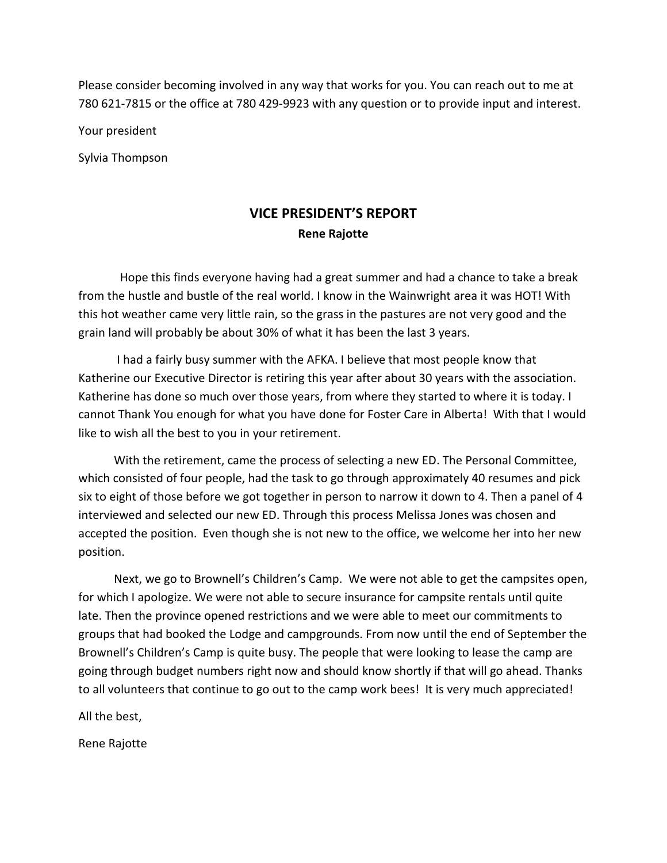Please consider becoming involved in any way that works for you. You can reach out to me at 780 621-7815 or the office at 780 429-9923 with any question or to provide input and interest.

Your president

Sylvia Thompson

# **VICE PRESIDENT'S REPORT Rene Rajotte**

 Hope this finds everyone having had a great summer and had a chance to take a break from the hustle and bustle of the real world. I know in the Wainwright area it was HOT! With this hot weather came very little rain, so the grass in the pastures are not very good and the grain land will probably be about 30% of what it has been the last 3 years.

 I had a fairly busy summer with the AFKA. I believe that most people know that Katherine our Executive Director is retiring this year after about 30 years with the association. Katherine has done so much over those years, from where they started to where it is today. I cannot Thank You enough for what you have done for Foster Care in Alberta! With that I would like to wish all the best to you in your retirement.

 With the retirement, came the process of selecting a new ED. The Personal Committee, which consisted of four people, had the task to go through approximately 40 resumes and pick six to eight of those before we got together in person to narrow it down to 4. Then a panel of 4 interviewed and selected our new ED. Through this process Melissa Jones was chosen and accepted the position. Even though she is not new to the office, we welcome her into her new position.

 Next, we go to Brownell's Children's Camp. We were not able to get the campsites open, for which I apologize. We were not able to secure insurance for campsite rentals until quite late. Then the province opened restrictions and we were able to meet our commitments to groups that had booked the Lodge and campgrounds. From now until the end of September the Brownell's Children's Camp is quite busy. The people that were looking to lease the camp are going through budget numbers right now and should know shortly if that will go ahead. Thanks to all volunteers that continue to go out to the camp work bees! It is very much appreciated!

All the best,

Rene Rajotte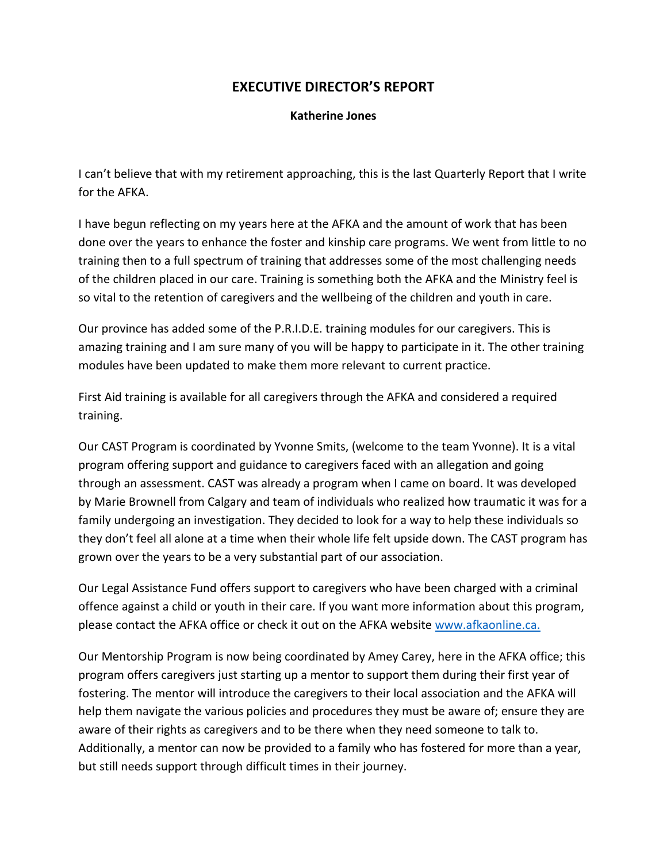## **EXECUTIVE DIRECTOR'S REPORT**

#### **Katherine Jones**

I can't believe that with my retirement approaching, this is the last Quarterly Report that I write for the AFKA.

I have begun reflecting on my years here at the AFKA and the amount of work that has been done over the years to enhance the foster and kinship care programs. We went from little to no training then to a full spectrum of training that addresses some of the most challenging needs of the children placed in our care. Training is something both the AFKA and the Ministry feel is so vital to the retention of caregivers and the wellbeing of the children and youth in care.

Our province has added some of the P.R.I.D.E. training modules for our caregivers. This is amazing training and I am sure many of you will be happy to participate in it. The other training modules have been updated to make them more relevant to current practice.

First Aid training is available for all caregivers through the AFKA and considered a required training.

Our CAST Program is coordinated by Yvonne Smits, (welcome to the team Yvonne). It is a vital program offering support and guidance to caregivers faced with an allegation and going through an assessment. CAST was already a program when I came on board. It was developed by Marie Brownell from Calgary and team of individuals who realized how traumatic it was for a family undergoing an investigation. They decided to look for a way to help these individuals so they don't feel all alone at a time when their whole life felt upside down. The CAST program has grown over the years to be a very substantial part of our association.

Our Legal Assistance Fund offers support to caregivers who have been charged with a criminal offence against a child or youth in their care. If you want more information about this program, please contact the AFKA office or check it out on the AFKA website [www.afkaonline.ca.](https://www.afkaonline.ca/)

Our Mentorship Program is now being coordinated by Amey Carey, here in the AFKA office; this program offers caregivers just starting up a mentor to support them during their first year of fostering. The mentor will introduce the caregivers to their local association and the AFKA will help them navigate the various policies and procedures they must be aware of; ensure they are aware of their rights as caregivers and to be there when they need someone to talk to. Additionally, a mentor can now be provided to a family who has fostered for more than a year, but still needs support through difficult times in their journey.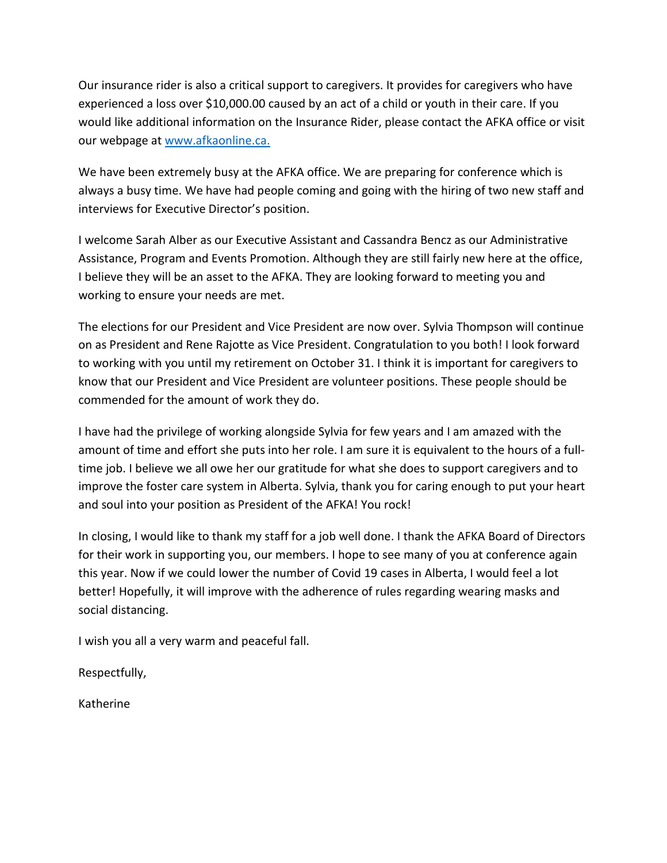Our insurance rider is also a critical support to caregivers. It provides for caregivers who have experienced a loss over \$10,000.00 caused by an act of a child or youth in their care. If you would like additional information on the Insurance Rider, please contact the AFKA office or visit our webpage at [www.afkaonline.ca.](https://www.afkaonline.ca/)

We have been extremely busy at the AFKA office. We are preparing for conference which is always a busy time. We have had people coming and going with the hiring of two new staff and interviews for Executive Director's position.

I welcome Sarah Alber as our Executive Assistant and Cassandra Bencz as our Administrative Assistance, Program and Events Promotion. Although they are still fairly new here at the office, I believe they will be an asset to the AFKA. They are looking forward to meeting you and working to ensure your needs are met.

The elections for our President and Vice President are now over. Sylvia Thompson will continue on as President and Rene Rajotte as Vice President. Congratulation to you both! I look forward to working with you until my retirement on October 31. I think it is important for caregivers to know that our President and Vice President are volunteer positions. These people should be commended for the amount of work they do.

I have had the privilege of working alongside Sylvia for few years and I am amazed with the amount of time and effort she puts into her role. I am sure it is equivalent to the hours of a fulltime job. I believe we all owe her our gratitude for what she does to support caregivers and to improve the foster care system in Alberta. Sylvia, thank you for caring enough to put your heart and soul into your position as President of the AFKA! You rock!

In closing, I would like to thank my staff for a job well done. I thank the AFKA Board of Directors for their work in supporting you, our members. I hope to see many of you at conference again this year. Now if we could lower the number of Covid 19 cases in Alberta, I would feel a lot better! Hopefully, it will improve with the adherence of rules regarding wearing masks and social distancing.

I wish you all a very warm and peaceful fall.

Respectfully,

Katherine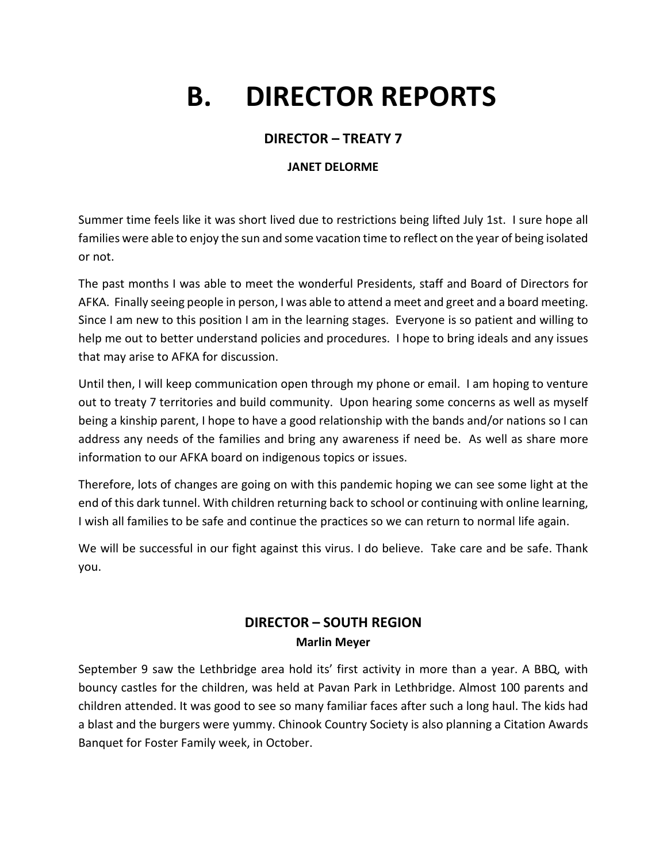# **B. DIRECTOR REPORTS**

## **DIRECTOR – TREATY 7**

#### **JANET DELORME**

Summer time feels like it was short lived due to restrictions being lifted July 1st. I sure hope all families were able to enjoy the sun and some vacation time to reflect on the year of being isolated or not.

The past months I was able to meet the wonderful Presidents, staff and Board of Directors for AFKA. Finally seeing people in person, I was able to attend a meet and greet and a board meeting. Since I am new to this position I am in the learning stages. Everyone is so patient and willing to help me out to better understand policies and procedures. I hope to bring ideals and any issues that may arise to AFKA for discussion.

Until then, I will keep communication open through my phone or email. I am hoping to venture out to treaty 7 territories and build community. Upon hearing some concerns as well as myself being a kinship parent, I hope to have a good relationship with the bands and/or nations so I can address any needs of the families and bring any awareness if need be. As well as share more information to our AFKA board on indigenous topics or issues.

Therefore, lots of changes are going on with this pandemic hoping we can see some light at the end of this dark tunnel. With children returning back to school or continuing with online learning, I wish all families to be safe and continue the practices so we can return to normal life again.

We will be successful in our fight against this virus. I do believe. Take care and be safe. Thank you.

## **DIRECTOR – SOUTH REGION Marlin Meyer**

September 9 saw the Lethbridge area hold its' first activity in more than a year. A BBQ, with bouncy castles for the children, was held at Pavan Park in Lethbridge. Almost 100 parents and children attended. It was good to see so many familiar faces after such a long haul. The kids had a blast and the burgers were yummy. Chinook Country Society is also planning a Citation Awards Banquet for Foster Family week, in October.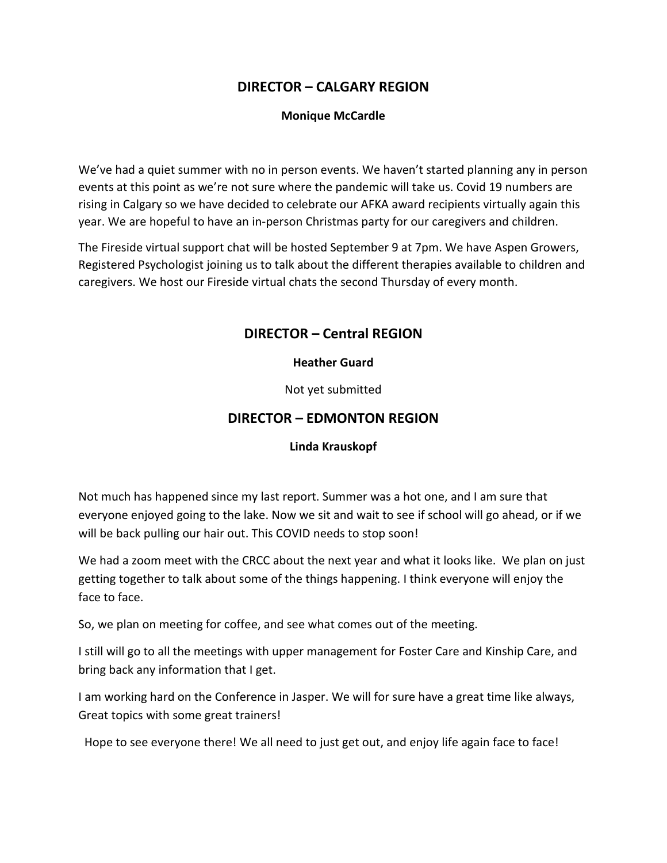## **DIRECTOR – CALGARY REGION**

#### **Monique McCardle**

We've had a quiet summer with no in person events. We haven't started planning any in person events at this point as we're not sure where the pandemic will take us. Covid 19 numbers are rising in Calgary so we have decided to celebrate our AFKA award recipients virtually again this year. We are hopeful to have an in-person Christmas party for our caregivers and children.

The Fireside virtual support chat will be hosted September 9 at 7pm. We have Aspen Growers, Registered Psychologist joining us to talk about the different therapies available to children and caregivers. We host our Fireside virtual chats the second Thursday of every month.

## **DIRECTOR – Central REGION**

#### **Heather Guard**

Not yet submitted

## **DIRECTOR – EDMONTON REGION**

#### **Linda Krauskopf**

Not much has happened since my last report. Summer was a hot one, and I am sure that everyone enjoyed going to the lake. Now we sit and wait to see if school will go ahead, or if we will be back pulling our hair out. This COVID needs to stop soon!

We had a zoom meet with the CRCC about the next year and what it looks like. We plan on just getting together to talk about some of the things happening. I think everyone will enjoy the face to face.

So, we plan on meeting for coffee, and see what comes out of the meeting.

I still will go to all the meetings with upper management for Foster Care and Kinship Care, and bring back any information that I get.

I am working hard on the Conference in Jasper. We will for sure have a great time like always, Great topics with some great trainers!

Hope to see everyone there! We all need to just get out, and enjoy life again face to face!